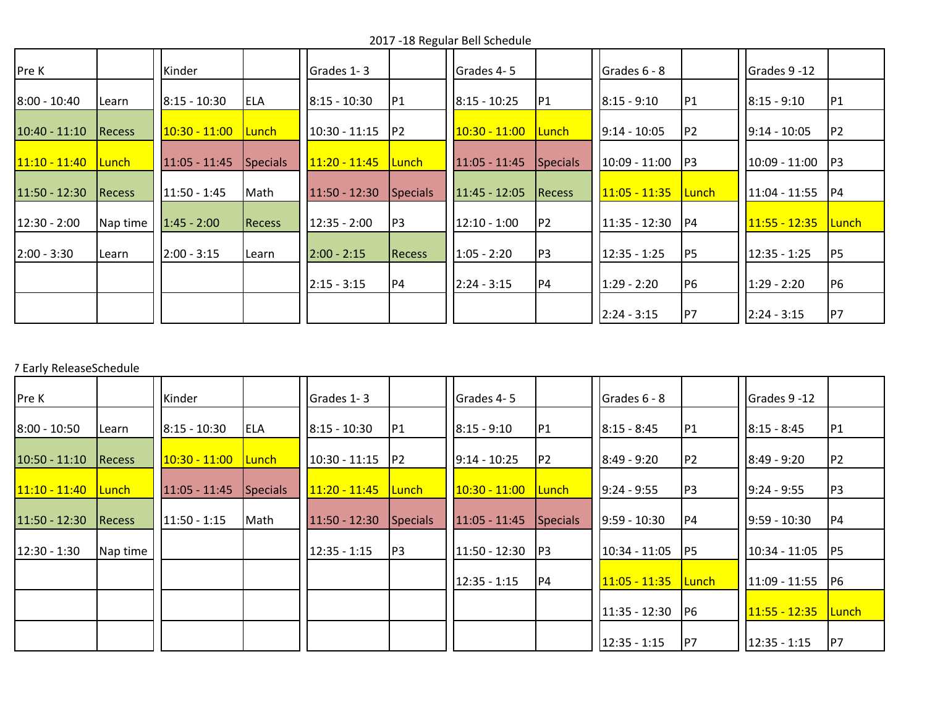2017 -18 Regular Bell Schedule

| <b>Pre K</b>    |               | Kinder                 |               | Grades 1-3      |                 | Grades 4-5      |                | Grades $6 - 8$  |                | Grades 9 -12    |                |
|-----------------|---------------|------------------------|---------------|-----------------|-----------------|-----------------|----------------|-----------------|----------------|-----------------|----------------|
| $8:00 - 10:40$  | Learn         | 8:15 - 10:30           | <b>ELA</b>    | $8:15 - 10:30$  | P1              | $8:15 - 10:25$  | P1             | $8:15 - 9:10$   | P1             | $8:15 - 9:10$   | P1             |
| $10:40 - 11:10$ | <b>Recess</b> | <u> 10:30 - 11:00 </u> | <u>Lunch-</u> | $10:30 - 11:15$ | P <sub>2</sub>  | $10:30 - 11:00$ | Lunch          | $19:14 - 10:05$ | P <sub>2</sub> | $19:14 - 10:05$ | P <sub>2</sub> |
| $11:10 - 11:40$ | <u>Lunch</u>  | 11:05 - 11:45          | Specials      | 11:20 - 11:45   | <u>Lunch</u>    | $11:05 - 11:45$ | Specials       | $10:09 - 11:00$ | P3             | $10:09 - 11:00$ | P3             |
| $11:50 - 12:30$ | <b>Recess</b> | 11:50 - 1:45           | Math          | $11:50 - 12:30$ | <b>Specials</b> | 11:45 - 12:05   | <b>Recess</b>  | $11:05 - 11:35$ | Lunch          | $11:04 - 11:55$ | P4             |
| $12:30 - 2:00$  | Nap time      | $1:45 - 2:00$          | <b>Recess</b> | $12:35 - 2:00$  | P <sub>3</sub>  | $12:10 - 1:00$  | P <sub>2</sub> | $11:35 - 12:30$ | P4             | 11:55 - 12:35   | <b>Lunch</b>   |
| $2:00 - 3:30$   | Learn         | $2:00 - 3:15$          | Learn         | $2:00 - 2:15$   | <b>Recess</b>   | $1:05 - 2:20$   | P3             | 12:35 - 1:25    | P <sub>5</sub> | $12:35 - 1:25$  | P <sub>5</sub> |
|                 |               |                        |               | $2:15 - 3:15$   | <b>P4</b>       | $2:24 - 3:15$   | P4             | $1:29 - 2:20$   | P <sub>6</sub> | $1:29 - 2:20$   | P <sub>6</sub> |
|                 |               |                        |               |                 |                 |                 |                | $2:24 - 3:15$   | P7             | $2:24 - 3:15$   | P7             |

## 7 Early ReleaseSchedule

| <b>Pre K</b>           |              | Kinder          |              | <b>I</b> Grades 1-3 |          | Grades 4-5      |                 | Grades 6 - 8    |              | Grades 9 -12    |                 |
|------------------------|--------------|-----------------|--------------|---------------------|----------|-----------------|-----------------|-----------------|--------------|-----------------|-----------------|
| $8:00 - 10:50$         | Learn        | $8:15 - 10:30$  | <b>ELA</b>   | $8:15 - 10:30$      | P1       | $8:15 - 9:10$   | P1              | $8:15 - 8:45$   | P1           | $8:15 - 8:45$   | P1              |
| $10:50 - 11:10$        | Recess       | $10:30 - 11:00$ | <b>Lunch</b> | $10:30 - 11:15$     | P2       | $9:14 - 10:25$  | IP <sub>2</sub> | $8:49 - 9:20$   | P2           | $8:49 - 9:20$   | P2              |
| <u> 11:10 - 11:40 </u> | <b>Lunch</b> | $11:05 - 11:45$ | Specials     | $11:20 - 11:45$     | Lunch    | $10:30 - 11:00$ | <b>Lunch</b>    | $9:24 - 9:55$   | P3           | $9:24 - 9:55$   | P <sub>3</sub>  |
| $11:50 - 12:30$        | Recess       | $11:50 - 1:15$  | Math         | $11:50 - 12:30$     | Specials | $11:05 - 11:45$ | <b>Specials</b> | $9:59 - 10:30$  | <b>P4</b>    | $9:59 - 10:30$  | P4              |
| $12:30 - 1:30$         | Nap time     |                 |              | $12:35 - 1:15$      | P3       | $11:50 - 12:30$ | P3              | 10:34 - 11:05   | P5           | $10:34 - 11:05$ | P5              |
|                        |              |                 |              |                     |          | $12:35 - 1:15$  | P4              | $11:05 - 11:35$ | <b>Lunch</b> | $11:09 - 11:55$ | IP <sub>6</sub> |
|                        |              |                 |              |                     |          |                 |                 | $11:35 - 12:30$ | P6           | $11:55 - 12:35$ | Lunch           |
|                        |              |                 |              |                     |          |                 |                 | 12:35 - 1:15    | P7           | $12:35 - 1:15$  | P7              |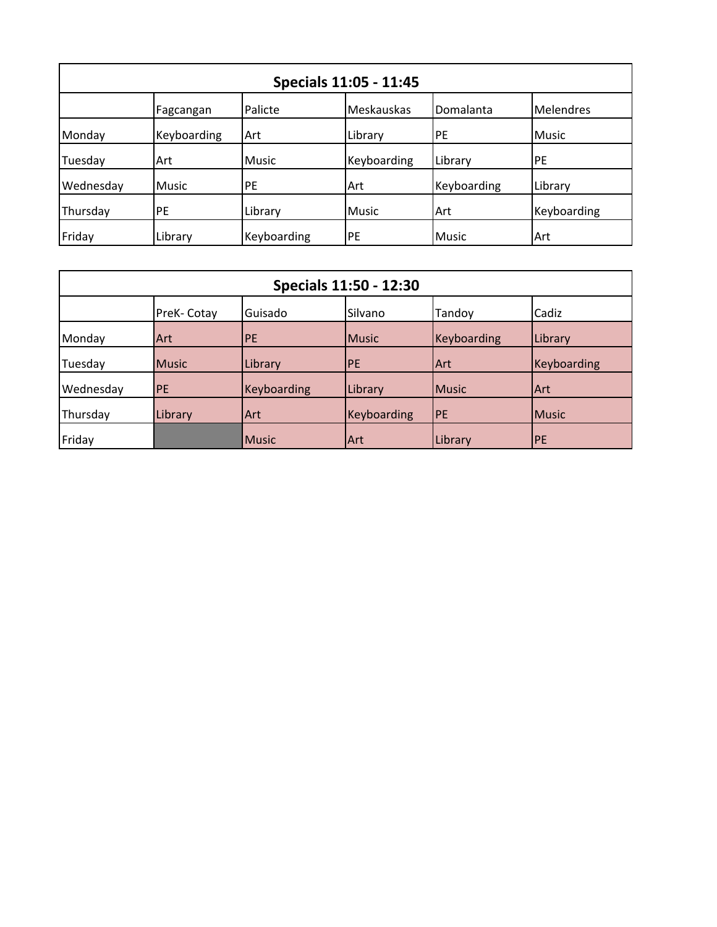| Specials 11:05 - 11:45 |              |             |             |              |                  |  |  |
|------------------------|--------------|-------------|-------------|--------------|------------------|--|--|
|                        | Fagcangan    | Palicte     | Meskauskas  | Domalanta    | <b>Melendres</b> |  |  |
| Monday                 | Keyboarding  | Art         | Library     | PE           | <b>Music</b>     |  |  |
| Tuesday                | <b>Art</b>   | Music       | Keyboarding | Library      | <b>PE</b>        |  |  |
| Wednesday              | <b>Music</b> | <b>PE</b>   | Art         | Keyboarding  | Library          |  |  |
| Thursday               | PE           | Library     | Music       | Art          | Keyboarding      |  |  |
| Friday                 | Library      | Keyboarding | PE          | <b>Music</b> | <b>Art</b>       |  |  |

| <b>Specials 11:50 - 12:30</b> |              |              |             |              |              |  |
|-------------------------------|--------------|--------------|-------------|--------------|--------------|--|
|                               | PreK-Cotay   | Guisado      | Silvano     | Tandoy       | Cadiz        |  |
| Monday                        | <b>Art</b>   | PE           | Music       | Keyboarding  | Library      |  |
| Tuesday                       | <b>Music</b> | Library      | <b>PE</b>   | <b>Art</b>   | Keyboarding  |  |
| Wednesday                     | PE           | Keyboarding  | Library     | <b>Music</b> | Art          |  |
| Thursday                      | Library      | <b>Art</b>   | Keyboarding | <b>PE</b>    | <b>Music</b> |  |
| Friday                        |              | <b>Music</b> | lArt        | Library      | <b>PE</b>    |  |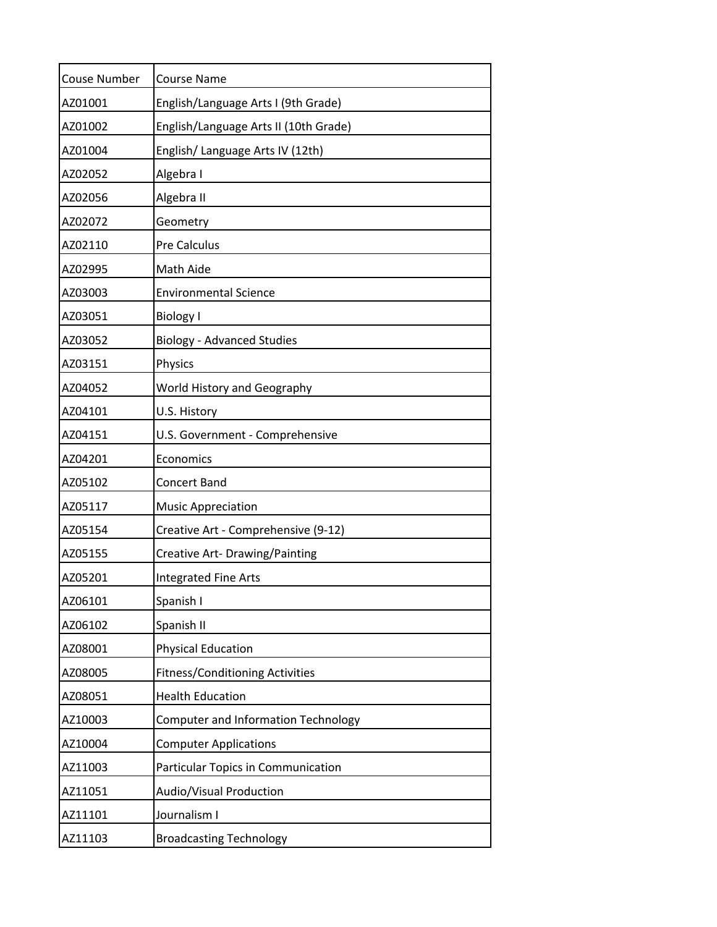| <b>Couse Number</b> | <b>Course Name</b>                         |
|---------------------|--------------------------------------------|
| AZ01001             | English/Language Arts I (9th Grade)        |
| AZ01002             | English/Language Arts II (10th Grade)      |
| AZ01004             | English/ Language Arts IV (12th)           |
| AZ02052             | Algebra I                                  |
| AZ02056             | Algebra II                                 |
| AZ02072             | Geometry                                   |
| AZ02110             | Pre Calculus                               |
| AZ02995             | Math Aide                                  |
| AZ03003             | <b>Environmental Science</b>               |
| AZ03051             | <b>Biology I</b>                           |
| AZ03052             | <b>Biology - Advanced Studies</b>          |
| AZ03151             | Physics                                    |
| AZ04052             | World History and Geography                |
| AZ04101             | U.S. History                               |
| AZ04151             | U.S. Government - Comprehensive            |
| AZ04201             | Economics                                  |
| AZ05102             | Concert Band                               |
| AZ05117             | <b>Music Appreciation</b>                  |
| AZ05154             | Creative Art - Comprehensive (9-12)        |
| AZ05155             | Creative Art- Drawing/Painting             |
| AZ05201             | <b>Integrated Fine Arts</b>                |
| AZ06101             | Spanish I                                  |
| AZ06102             | Spanish II                                 |
| AZ08001             | <b>Physical Education</b>                  |
| AZ08005             | <b>Fitness/Conditioning Activities</b>     |
| AZ08051             | <b>Health Education</b>                    |
| AZ10003             | <b>Computer and Information Technology</b> |
| AZ10004             | <b>Computer Applications</b>               |
| AZ11003             | Particular Topics in Communication         |
| AZ11051             | Audio/Visual Production                    |
| AZ11101             | Journalism I                               |
| AZ11103             | <b>Broadcasting Technology</b>             |